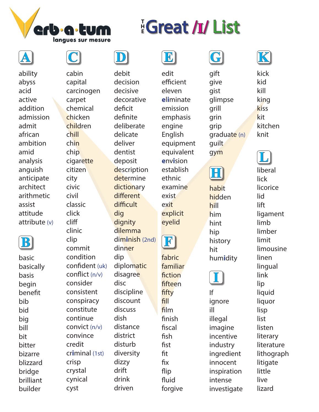

ability abyss acid active addition admission admit african ambition amid analysis anguish anticipate architect arithmetic assist attitude attribute (v)



basic basically basis begin benefit bib bid big bill bit bitter bizarre blizzard bridge brilliant builder





**H E**

debit decision decisive decorative deficit definite deliberate delicate deliver dentist deposit description determine **dictionary** different difficult dig dignity dilemma dim**i**nish (2nd) dinner dip diplomatic disagree disc discipline discount discuss dish distance district disturb diversity dizzy drift drink driven

**E**

**EGreat /I/ List** 

edit efficient eleven **e**l**i**minate emission emphasis engine English equipment equivalent **e**nv**i**sion establish ethnic examine exist exit explicit

**F** eyelid

fabric familiar fiction fifteen fifty fill film finish fiscal fish fist fit fix flip fluid forgive



gift give gist glimpse grill grin grip graduate (n) guilt gym



habit hidden hill him hint hip history hit hum**i**dity



If ignore ill illegal imagine incentive industry ingredient innocent inspiration intense investigate



kick kid kill king kiss kit kitchen knit

**L**

liberal lick licorice lid lift ligament limb limber limit limousine linen lingual link lip liquid liquor lisp list listen literary literature lithograph litigate little live

lizard